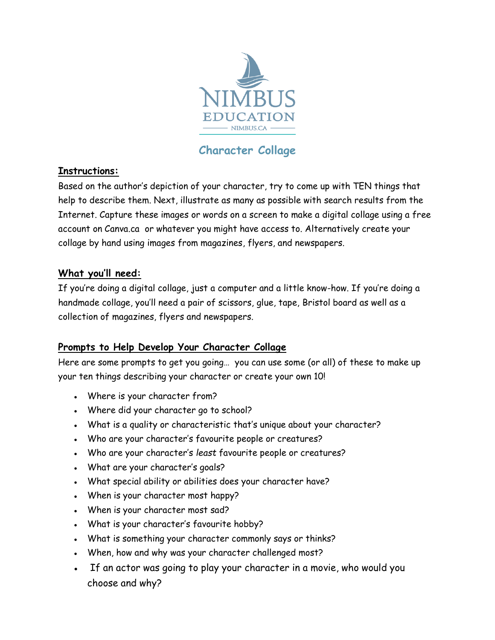

## **Character Collage**

## **Instructions:**

Based on the author's depiction of your character, try to come up with TEN things that help to describe them. Next, illustrate as many as possible with search results from the Internet. Capture these images or words on a screen to make a digital collage using a free account on Canva.ca or whatever you might have access to. Alternatively create your collage by hand using images from magazines, flyers, and newspapers.

#### **What you'll need:**

If you're doing a digital collage, just a computer and a little know-how. If you're doing a handmade collage, you'll need a pair of scissors, glue, tape, Bristol board as well as a collection of magazines, flyers and newspapers.

## **Prompts to Help Develop Your Character Collage**

Here are some prompts to get you going… you can use some (or all) of these to make up your ten things describing your character or create your own 10!

- Where is your character from?
- Where did your character go to school?
- What is a quality or characteristic that's unique about your character?
- Who are your character's favourite people or creatures?
- Who are your character's *least* favourite people or creatures?
- What are your character's goals?
- What special ability or abilities does your character have?
- When is your character most happy?
- When is your character most sad?
- What is your character's favourite hobby?
- What is something your character commonly says or thinks?
- When, how and why was your character challenged most?
- If an actor was going to play your character in a movie, who would you choose and why?